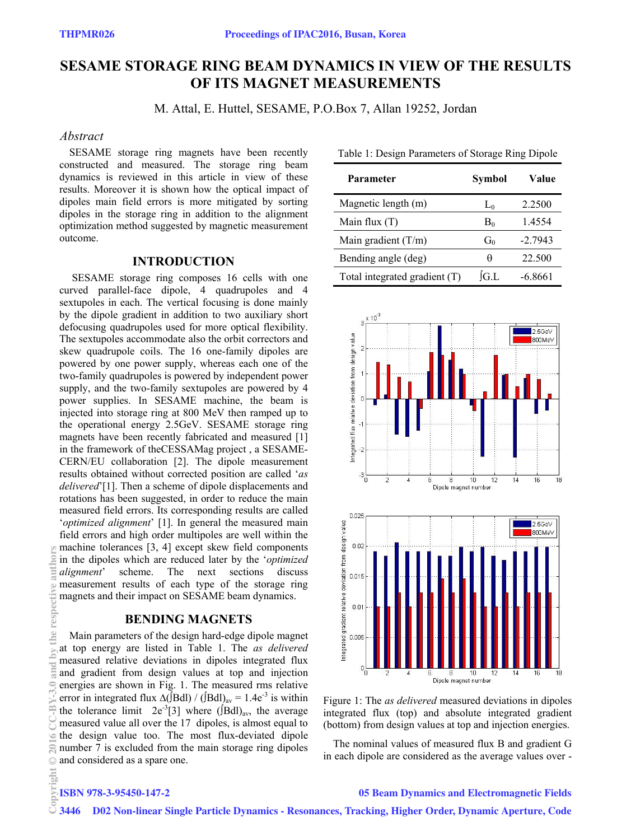# **SESAME STORAGE RING BEAM DYNAMICS IN VIEW OF THE RESULTS OF ITS MAGNET MEASUREMENTS**

M. Attal, E. Huttel, SESAME, P.O.Box 7, Allan 19252, Jordan

# *Abstract*

SESAME storage ring magnets have been recently constructed and measured. The storage ring beam dynamics is reviewed in this article in view of these results. Moreover it is shown how the optical impact of dipoles main field errors is more mitigated by sorting dipoles in the storage ring in addition to the alignment optimization method suggested by magnetic measurement outcome.

#### **INTRODUCTION**

 SESAME storage ring composes 16 cells with one curved parallel-face dipole, 4 quadrupoles and 4 sextupoles in each. The vertical focusing is done mainly by the dipole gradient in addition to two auxiliary short defocusing quadrupoles used for more optical flexibility. The sextupoles accommodate also the orbit correctors and skew quadrupole coils. The 16 one-family dipoles are powered by one power supply, whereas each one of the two-family quadrupoles is powered by independent power supply, and the two-family sextupoles are powered by 4 power supplies. In SESAME machine, the beam is injected into storage ring at 800 MeV then ramped up to the operational energy 2.5GeV. SESAME storage ring magnets have been recently fabricated and measured [1] in the framework of theCESSAMag project , a SESAME-CERN/EU collaboration [2]. The dipole measurement results obtained without corrected position are called '*as delivered*'[1]. Then a scheme of dipole displacements and rotations has been suggested, in order to reduce the main measured field errors. Its corresponding results are called '*optimized alignment*' [1]. In general the measured main field errors and high order multipoles are well within the machine tolerances [3, 4] except skew field components in the dipoles which are reduced later by the '*optimized alignment*' scheme. The next sections discuss measurement results of each type of the storage ring magnets and their impact on SESAME beam dynamics.

# **BENDING MAGNETS**

Main parameters of the design hard-edge dipole magnet at top energy are listed in Table 1. The *as delivered* measured relative deviations in dipoles integrated flux and gradient from design values at top and injection energies are shown in Fig. 1. The measured rms relative error in integrated flux  $\Delta$ ([Bdl]) / ([Bdl]<sub>av</sub> = 1.4e<sup>-3</sup> is within the tolerance limit  $2e^{-3}[3]$  where ([Bdl)<sub>av</sub>, the average measured value all over the 17 dipoles, is almost equal to the design value too. The most flux-deviated dipole number 7 is excluded from the main storage ring dipoles and considered as a spare one. Copyright Copyright Copyright Copyright Copyright Copyright Copyright Copyright Copyright Copyright Copyright Copyright Copyright Copyright Copyright Copyright Copyright Copyright Copyright Copyright Copyright Copyright C

| Parameter                     | Symbol | Value     |
|-------------------------------|--------|-----------|
| Magnetic length (m)           | $L_0$  | 2.2500    |
| Main flux $(T)$               | $B_0$  | 14554     |
| Main gradient $(T/m)$         | $G_0$  | $-2.7943$ |
| Bending angle (deg)           | H      | 22.500    |
| Total integrated gradient (T) | ÍG L   | -6.8661   |

Table 1: Design Parameters of Storage Ring Dipole



Figure 1: The *as delivered* measured deviations in dipoles integrated flux (top) and absolute integrated gradient (bottom) from design values at top and injection energies.

The nominal values of measured flux B and gradient G in each dipole are considered as the average values over -

# ISBN 978-3-95450-147-2

#### 05 Beam Dynamics and Electromagnetic Fields

3446 D02 Non-linear Single Particle Dynamics - Resonances, Tracking, Higher Order, Dynamic Aperture, Code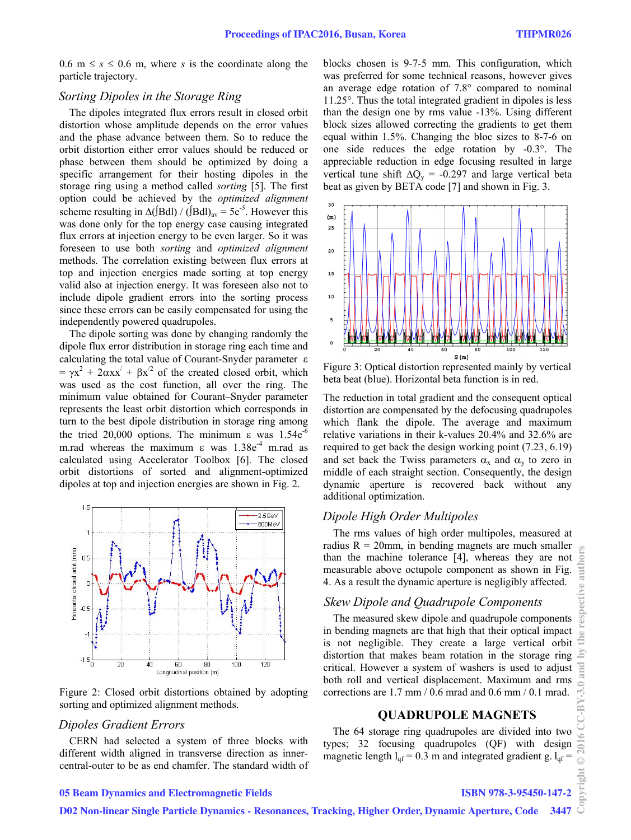0.6 m  $\leq$  *s*  $\leq$  0.6 m, where *s* is the coordinate along the particle trajectory.

# *Sorting Dipoles in the Storage Ring*

The dipoles integrated flux errors result in closed orbit distortion whose amplitude depends on the error values and the phase advance between them. So to reduce the orbit distortion either error values should be reduced or phase between them should be optimized by doing a specific arrangement for their hosting dipoles in the storage ring using a method called *sorting* [5]. The first option could be achieved by the *optimized alignment* scheme resulting in  $\Delta$ (JBdl) / (JBdl)<sub>av</sub> = 5e<sup>-5</sup>. However this was done only for the top energy case causing integrated flux errors at injection energy to be even larger. So it was foreseen to use both *sorting* and *optimized alignment* methods. The correlation existing between flux errors at top and injection energies made sorting at top energy valid also at injection energy. It was foreseen also not to include dipole gradient errors into the sorting process since these errors can be easily compensated for using the independently powered quadrupoles.

The dipole sorting was done by changing randomly the dipole flux error distribution in storage ring each time and calculating the total value of Courant-Snyder parameter  $\varepsilon$  $= \gamma x^2 + 2\alpha x x' + \beta x'^2$  of the created closed orbit, which was used as the cost function, all over the ring. The minimum value obtained for Courant–Snyder parameter represents the least orbit distortion which corresponds in turn to the best dipole distribution in storage ring among the tried 20,000 options. The minimum  $\varepsilon$  was 1.54 $e^{-6}$ m.rad whereas the maximum  $\varepsilon$  was  $1.38e^{4}$  m.rad as calculated using Accelerator Toolbox [6]. The closed orbit distortions of sorted and alignment-optimized dipoles at top and injection energies are shown in Fig. 2.



Figure 2: Closed orbit distortions obtained by adopting sorting and optimized alignment methods.

#### *Dipoles Gradient Errors*

CERN had selected a system of three blocks with different width aligned in transverse direction as innercentral-outer to be as end chamfer. The standard width of blocks chosen is 9-7-5 mm. This configuration, which was preferred for some technical reasons, however gives an average edge rotation of 7.8° compared to nominal 11.25°. Thus the total integrated gradient in dipoles is less than the design one by rms value -13%. Using different block sizes allowed correcting the gradients to get them equal within 1.5%. Changing the bloc sizes to 8-7-6 on one side reduces the edge rotation by -0.3°. The appreciable reduction in edge focusing resulted in large vertical tune shift  $\Delta Q_v = -0.297$  and large vertical beta beat as given by BETA code [7] and shown in Fig. 3.



Figure 3: Optical distortion represented mainly by vertical beta beat (blue). Horizontal beta function is in red.

The reduction in total gradient and the consequent optical distortion are compensated by the defocusing quadrupoles which flank the dipole. The average and maximum relative variations in their k-values 20.4% and 32.6% are required to get back the design working point (7.23, 6.19) and set back the Twiss parameters  $\alpha_x$  and  $\alpha_y$  to zero in middle of each straight section. Consequently, the design dynamic aperture is recovered back without any additional optimization.

#### *Dipole High Order Multipoles*

The rms values of high order multipoles, measured at radius  $R = 20$ mm, in bending magnets are much smaller than the machine tolerance [4], whereas they are not measurable above octupole component as shown in Fig. 4. As a result the dynamic aperture is negligibly affected.

# *Skew Dipole and Quadrupole Components*

The measured skew dipole and quadrupole components in bending magnets are that high that their optical impact is not negligible. They create a large vertical orbit distortion that makes beam rotation in the storage ring critical. However a system of washers is used to adjust both roll and vertical displacement. Maximum and rms corrections are 1.7 mm / 0.6 mrad and 0.6 mm / 0.1 mrad.

# **QUADRUPOLE MAGNETS**

The 64 storage ring quadrupoles are divided into two types; 32 focusing quadrupoles (QF) with design magnetic length  $l_{qf} = 0.3$  m and integrated gradient g.  $l_{qf} =$ 

# 05 Beam Dynamics and Electromagnetic Fields

ISBN 978-3-95450-147-2

D02 Non-linear Single Particle Dynamics - Resonances, Tracking, Higher Order, Dynamic Aperture, Code 3447